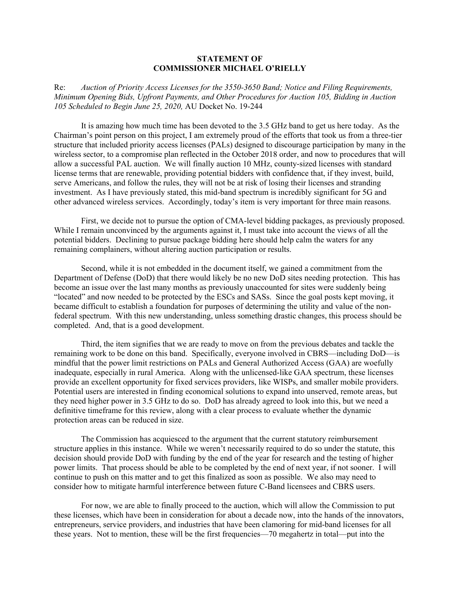## **STATEMENT OF COMMISSIONER MICHAEL O'RIELLY**

Re: *Auction of Priority Access Licenses for the 3550-3650 Band; Notice and Filing Requirements, Minimum Opening Bids, Upfront Payments, and Other Procedures for Auction 105, Bidding in Auction 105 Scheduled to Begin June 25, 2020,* AU Docket No. 19-244

It is amazing how much time has been devoted to the 3.5 GHz band to get us here today. As the Chairman's point person on this project, I am extremely proud of the efforts that took us from a three-tier structure that included priority access licenses (PALs) designed to discourage participation by many in the wireless sector, to a compromise plan reflected in the October 2018 order, and now to procedures that will allow a successful PAL auction. We will finally auction 10 MHz, county-sized licenses with standard license terms that are renewable, providing potential bidders with confidence that, if they invest, build, serve Americans, and follow the rules, they will not be at risk of losing their licenses and stranding investment. As I have previously stated, this mid-band spectrum is incredibly significant for 5G and other advanced wireless services. Accordingly, today's item is very important for three main reasons.

First, we decide not to pursue the option of CMA-level bidding packages, as previously proposed. While I remain unconvinced by the arguments against it. I must take into account the views of all the potential bidders. Declining to pursue package bidding here should help calm the waters for any remaining complainers, without altering auction participation or results.

Second, while it is not embedded in the document itself, we gained a commitment from the Department of Defense (DoD) that there would likely be no new DoD sites needing protection. This has become an issue over the last many months as previously unaccounted for sites were suddenly being "located" and now needed to be protected by the ESCs and SASs. Since the goal posts kept moving, it became difficult to establish a foundation for purposes of determining the utility and value of the nonfederal spectrum. With this new understanding, unless something drastic changes, this process should be completed. And, that is a good development.

Third, the item signifies that we are ready to move on from the previous debates and tackle the remaining work to be done on this band. Specifically, everyone involved in CBRS—including DoD—is mindful that the power limit restrictions on PALs and General Authorized Access (GAA) are woefully inadequate, especially in rural America. Along with the unlicensed-like GAA spectrum, these licenses provide an excellent opportunity for fixed services providers, like WISPs, and smaller mobile providers. Potential users are interested in finding economical solutions to expand into unserved, remote areas, but they need higher power in 3.5 GHz to do so. DoD has already agreed to look into this, but we need a definitive timeframe for this review, along with a clear process to evaluate whether the dynamic protection areas can be reduced in size.

The Commission has acquiesced to the argument that the current statutory reimbursement structure applies in this instance. While we weren't necessarily required to do so under the statute, this decision should provide DoD with funding by the end of the year for research and the testing of higher power limits. That process should be able to be completed by the end of next year, if not sooner. I will continue to push on this matter and to get this finalized as soon as possible. We also may need to consider how to mitigate harmful interference between future C-Band licensees and CBRS users.

For now, we are able to finally proceed to the auction, which will allow the Commission to put these licenses, which have been in consideration for about a decade now, into the hands of the innovators, entrepreneurs, service providers, and industries that have been clamoring for mid-band licenses for all these years. Not to mention, these will be the first frequencies—70 megahertz in total—put into the